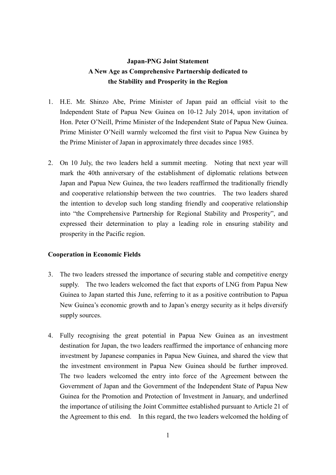# **Japan-PNG Joint Statement A New Age as Comprehensive Partnership dedicated to the Stability and Prosperity in the Region**

- 1. H.E. Mr. Shinzo Abe, Prime Minister of Japan paid an official visit to the Independent State of Papua New Guinea on 10-12 July 2014, upon invitation of Hon. Peter O'Neill, Prime Minister of the Independent State of Papua New Guinea. Prime Minister O'Neill warmly welcomed the first visit to Papua New Guinea by the Prime Minister of Japan in approximately three decades since 1985.
- 2. On 10 July, the two leaders held a summit meeting. Noting that next year will mark the 40th anniversary of the establishment of diplomatic relations between Japan and Papua New Guinea, the two leaders reaffirmed the traditionally friendly and cooperative relationship between the two countries. The two leaders shared the intention to develop such long standing friendly and cooperative relationship into "the Comprehensive Partnership for Regional Stability and Prosperity", and expressed their determination to play a leading role in ensuring stability and prosperity in the Pacific region.

## **Cooperation in Economic Fields**

- 3. The two leaders stressed the importance of securing stable and competitive energy supply. The two leaders welcomed the fact that exports of LNG from Papua New Guinea to Japan started this June, referring to it as a positive contribution to Papua New Guinea's economic growth and to Japan's energy security as it helps diversify supply sources.
- 4. Fully recognising the great potential in Papua New Guinea as an investment destination for Japan, the two leaders reaffirmed the importance of enhancing more investment by Japanese companies in Papua New Guinea, and shared the view that the investment environment in Papua New Guinea should be further improved. The two leaders welcomed the entry into force of the Agreement between the Government of Japan and the Government of the Independent State of Papua New Guinea for the Promotion and Protection of Investment in January, and underlined the importance of utilising the Joint Committee established pursuant to Article 21 of the Agreement to this end. In this regard, the two leaders welcomed the holding of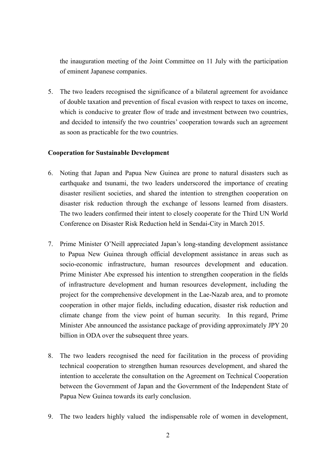the inauguration meeting of the Joint Committee on 11 July with the participation of eminent Japanese companies.

5. The two leaders recognised the significance of a bilateral agreement for avoidance of double taxation and prevention of fiscal evasion with respect to taxes on income, which is conducive to greater flow of trade and investment between two countries, and decided to intensify the two countries' cooperation towards such an agreement as soon as practicable for the two countries.

## **Cooperation for Sustainable Development**

- 6. Noting that Japan and Papua New Guinea are prone to natural disasters such as earthquake and tsunami, the two leaders underscored the importance of creating disaster resilient societies, and shared the intention to strengthen cooperation on disaster risk reduction through the exchange of lessons learned from disasters. The two leaders confirmed their intent to closely cooperate for the Third UN World Conference on Disaster Risk Reduction held in Sendai-City in March 2015.
- 7. Prime Minister O'Neill appreciated Japan's long-standing development assistance to Papua New Guinea through official development assistance in areas such as socio-economic infrastructure, human resources development and education. Prime Minister Abe expressed his intention to strengthen cooperation in the fields of infrastructure development and human resources development, including the project for the comprehensive development in the Lae-Nazab area, and to promote cooperation in other major fields, including education, disaster risk reduction and climate change from the view point of human security. In this regard, Prime Minister Abe announced the assistance package of providing approximately JPY 20 billion in ODA over the subsequent three years.
- 8. The two leaders recognised the need for facilitation in the process of providing technical cooperation to strengthen human resources development, and shared the intention to accelerate the consultation on the Agreement on Technical Cooperation between the Government of Japan and the Government of the Independent State of Papua New Guinea towards its early conclusion.
- 9. The two leaders highly valued the indispensable role of women in development,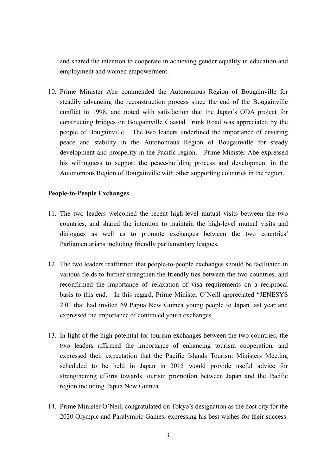and shared the intention to cooperate in achieving gender equality in education and employment and women empowerment.

10. Prime Minister Abe commended the Autonomous Region of Bougainville for steadily advancing the reconstruction process since the end of the Bougainville conflict in 1998, and noted with satisfaction that the Japan's ODA project for constructing bridges on Bougainville Coastal Trunk Road was appreciated by the people of Bougainville. The two leaders underlined the importance of ensuring peace and stability in the Autonomous Region of Bougainville for steady development and prosperity in the Pacific region. Prime Minister Abe expressed his willingness to support the peace-building process and development in the Autonomous Region of Bougainville with other supporting countries in the region.

## **People-to-People Exchanges**

- 11. The two leaders welcomed the recent high-level mutual visits between the two countries, and shared the intention to maintain the high-level mutual visits and dialogues as well as to promote exchanges between the two countries' Parliamentarians including friendly parliamentary leagues.
- 12. The two leaders reaffirmed that people-to-people exchanges should be facilitated in various fields to further strengthen the friendly ties between the two countries, and reconfirmed the importance of relaxation of visa requirements on a reciprocal basis to this end. In this regard, Prime Minister O'Neill appreciated "JENESYS 2.0" that had invited 69 Papua New Guinea young people to Japan last year and expressed the importance of continued youth exchanges.
- 13. In light of the high potential for tourism exchanges between the two countries, the two leaders affirmed the importance of enhancing tourism cooperation, and expressed their expectation that the Pacific Islands Tourism Ministers Meeting scheduled to be held in Japan in 2015 would provide useful advice for strengthening efforts towards tourism promotion between Japan and the Pacific region including Papua New Guinea.
- 14. Prime Minister O'Neill congratulated on Tokyo's designation as the host city for the 2020 Olympic and Paralympic Games, expressing his best wishes for their success.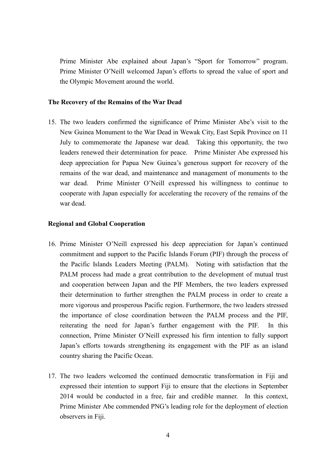Prime Minister Abe explained about Japan's "Sport for Tomorrow" program. Prime Minister O'Neill welcomed Japan's efforts to spread the value of sport and the Olympic Movement around the world.

## **The Recovery of the Remains of the War Dead**

15. The two leaders confirmed the significance of Prime Minister Abe's visit to the New Guinea Monument to the War Dead in Wewak City, East Sepik Province on 11 July to commemorate the Japanese war dead. Taking this opportunity, the two leaders renewed their determination for peace. Prime Minister Abe expressed his deep appreciation for Papua New Guinea's generous support for recovery of the remains of the war dead, and maintenance and management of monuments to the war dead. Prime Minister O'Neill expressed his willingness to continue to cooperate with Japan especially for accelerating the recovery of the remains of the war dead.

#### **Regional and Global Cooperation**

- 16. Prime Minister O'Neill expressed his deep appreciation for Japan's continued commitment and support to the Pacific Islands Forum (PIF) through the process of the Pacific Islands Leaders Meeting (PALM). Noting with satisfaction that the PALM process had made a great contribution to the development of mutual trust and cooperation between Japan and the PIF Members, the two leaders expressed their determination to further strengthen the PALM process in order to create a more vigorous and prosperous Pacific region. Furthermore, the two leaders stressed the importance of close coordination between the PALM process and the PIF, reiterating the need for Japan's further engagement with the PIF. In this connection, Prime Minister O'Neill expressed his firm intention to fully support Japan's efforts towards strengthening its engagement with the PIF as an island country sharing the Pacific Ocean.
- 17. The two leaders welcomed the continued democratic transformation in Fiji and expressed their intention to support Fiji to ensure that the elections in September 2014 would be conducted in a free, fair and credible manner. In this context, Prime Minister Abe commended PNG's leading role for the deployment of election observers in Fiji.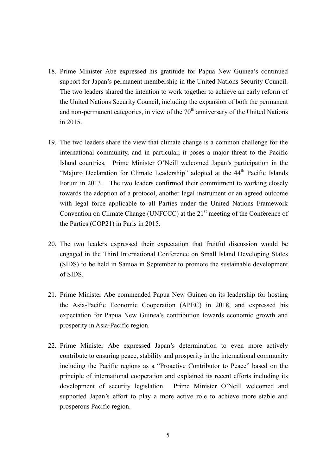- 18. Prime Minister Abe expressed his gratitude for Papua New Guinea's continued support for Japan's permanent membership in the United Nations Security Council. The two leaders shared the intention to work together to achieve an early reform of the United Nations Security Council, including the expansion of both the permanent and non-permanent categories, in view of the  $70<sup>th</sup>$  anniversary of the United Nations in 2015.
- 19. The two leaders share the view that climate change is a common challenge for the international community, and in particular, it poses a major threat to the Pacific Island countries. Prime Minister O'Neill welcomed Japan's participation in the "Majuro Declaration for Climate Leadership" adopted at the 44<sup>th</sup> Pacific Islands Forum in 2013. The two leaders confirmed their commitment to working closely towards the adoption of a protocol, another legal instrument or an agreed outcome with legal force applicable to all Parties under the United Nations Framework Convention on Climate Change (UNFCCC) at the 21<sup>st</sup> meeting of the Conference of the Parties (COP21) in Paris in 2015.
- 20. The two leaders expressed their expectation that fruitful discussion would be engaged in the Third International Conference on Small Island Developing States (SIDS) to be held in Samoa in September to promote the sustainable development of SIDS.
- 21. Prime Minister Abe commended Papua New Guinea on its leadership for hosting the Asia-Pacific Economic Cooperation (APEC) in 2018, and expressed his expectation for Papua New Guinea's contribution towards economic growth and prosperity in Asia-Pacific region.
- 22. Prime Minister Abe expressed Japan's determination to even more actively contribute to ensuring peace, stability and prosperity in the international community including the Pacific regions as a "Proactive Contributor to Peace" based on the principle of international cooperation and explained its recent efforts including its development of security legislation. Prime Minister O'Neill welcomed and supported Japan's effort to play a more active role to achieve more stable and prosperous Pacific region.